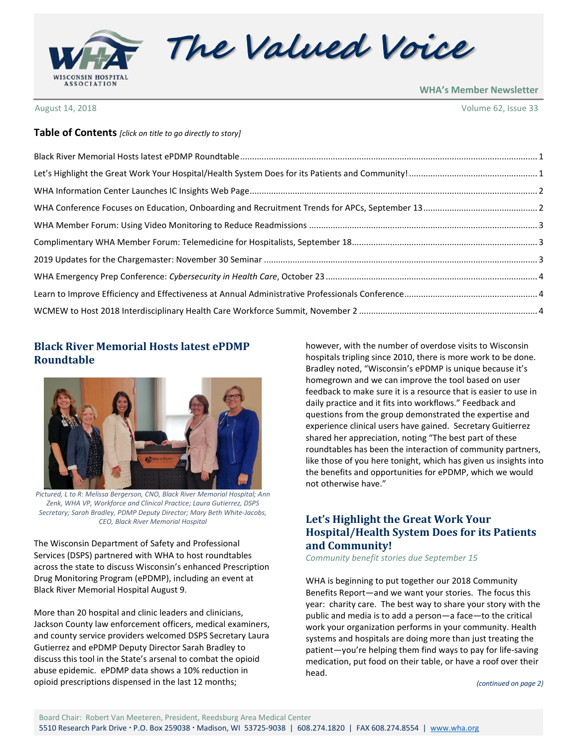

The Valued Voice

**WHA's Member Newsletter**

August 14, 2018 Volume 62, Issue 33

#### **Table of Contents** *[click on title to go directly to story]*

### <span id="page-0-0"></span>**Black River Memorial Hosts latest ePDMP Roundtable**



*Pictured, L to R: Melissa Bergerson, CNO, Black River Memorial Hospital; Ann Zenk, WHA VP, Workforce and Clinical Practice; Laura Gutierrez, DSPS Secretary; Sarah Bradley, PDMP Deputy Director; Mary Beth White-Jacobs, CEO, Black River Memorial Hospital*

The Wisconsin Department of Safety and Professional Services (DSPS) partnered with WHA to host roundtables across the state to discuss Wisconsin's enhanced Prescription Drug Monitoring Program (ePDMP), including an event at Black River Memorial Hospital August 9.

More than 20 hospital and clinic leaders and clinicians, Jackson County law enforcement officers, medical examiners, and county service providers welcomed DSPS Secretary Laura Gutierrez and ePDMP Deputy Director Sarah Bradley to discuss this tool in the State's arsenal to combat the opioid abuse epidemic. ePDMP data shows a 10% reduction in opioid prescriptions dispensed in the last 12 months;

however, with the number of overdose visits to Wisconsin hospitals tripling since 2010, there is more work to be done. Bradley noted, "Wisconsin's ePDMP is unique because it's homegrown and we can improve the tool based on user feedback to make sure it is a resource that is easier to use in daily practice and it fits into workflows." Feedback and questions from the group demonstrated the expertise and experience clinical users have gained. Secretary Guitierrez shared her appreciation, noting "The best part of these roundtables has been the interaction of community partners, like those of you here tonight, which has given us insights into the benefits and opportunities for ePDMP, which we would not otherwise have."

# <span id="page-0-1"></span>**Let's Highlight the Great Work Your Hospital/Health System Does for its Patients and Community!**

*Community benefit stories due September 15*

WHA is beginning to put together our 2018 Community Benefits Report—and we want your stories. The focus this year: charity care. The best way to share your story with the public and media is to add a person—a face—to the critical work your organization performs in your community. Health systems and hospitals are doing more than just treating the patient—you're helping them find ways to pay for life-saving medication, put food on their table, or have a roof over their head.

*(continued on page 2)*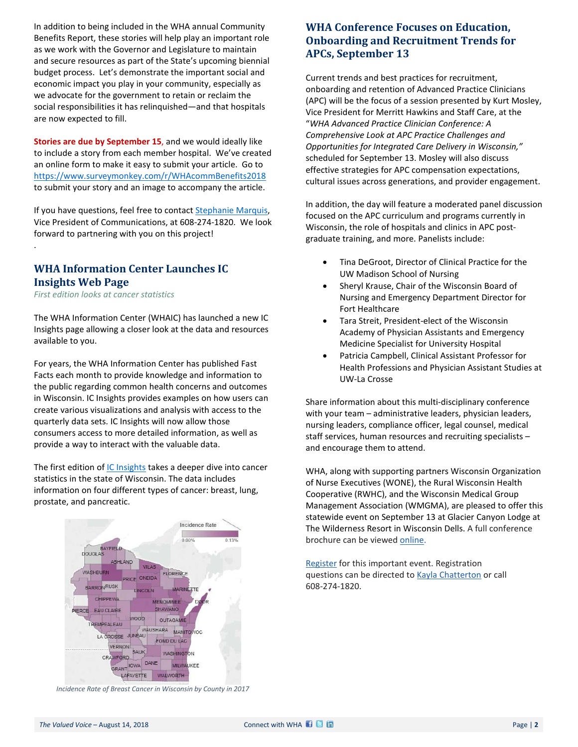In addition to being included in the WHA annual Community Benefits Report, these stories will help play an important role as we work with the Governor and Legislature to maintain and secure resources as part of the State's upcoming biennial budget process. Let's demonstrate the important social and economic impact you play in your community, especially as we advocate for the government to retain or reclaim the social responsibilities it has relinquished—and that hospitals are now expected to fill.

**Stories are due by September 15**, and we would ideally like to include a story from each member hospital. We've created an online form to make it easy to submit your article. Go to <https://www.surveymonkey.com/r/WHAcommBenefits2018> to submit your story and an image to accompany the article.

If you have questions, feel free to contact [Stephanie Marquis,](mailto:smarquis@wha.org) Vice President of Communications, at 608-274-1820. We look forward to partnering with you on this project!

#### <span id="page-1-0"></span>**WHA Information Center Launches IC Insights Web Page**

*First edition looks at cancer statistics*

.

The WHA Information Center (WHAIC) has launched a new IC Insights page allowing a closer look at the data and resources available to you.

For years, the WHA Information Center has published Fast Facts each month to provide knowledge and information to the public regarding common health concerns and outcomes in Wisconsin. IC Insights provides examples on how users can create various visualizations and analysis with access to the quarterly data sets. IC Insights will now allow those consumers access to more detailed information, as well as provide a way to interact with the valuable data.

The first edition of [IC Insights](https://ascdashboard.whainfocenter.com/enhancedfastfacts.aspx) takes a deeper dive into cancer statistics in the state of Wisconsin. The data includes information on four different types of cancer: breast, lung, prostate, and pancreatic.



*Incidence Rate of Breast Cancer in Wisconsin by County in 2017*

# <span id="page-1-1"></span>**WHA Conference Focuses on Education, Onboarding and Recruitment Trends for APCs, September 13**

Current trends and best practices for recruitment, onboarding and retention of Advanced Practice Clinicians (APC) will be the focus of a session presented by Kurt Mosley, Vice President for Merritt Hawkins and Staff Care, at the "*WHA Advanced Practice Clinician Conference: A Comprehensive Look at APC Practice Challenges and Opportunities for Integrated Care Delivery in Wisconsin,"*  scheduled for September 13. Mosley will also discuss effective strategies for APC compensation expectations, cultural issues across generations, and provider engagement.

In addition, the day will feature a moderated panel discussion focused on the APC curriculum and programs currently in Wisconsin, the role of hospitals and clinics in APC postgraduate training, and more. Panelists include:

- Tina DeGroot, Director of Clinical Practice for the UW Madison School of Nursing
- Sheryl Krause, Chair of the Wisconsin Board of Nursing and Emergency Department Director for Fort Healthcare
- Tara Streit, President-elect of the Wisconsin Academy of Physician Assistants and Emergency Medicine Specialist for University Hospital
- Patricia Campbell, Clinical Assistant Professor for Health Professions and Physician Assistant Studies at UW-La Crosse

Share information about this multi-disciplinary conference with your team – administrative leaders, physician leaders, nursing leaders, compliance officer, legal counsel, medical staff services, human resources and recruiting specialists – and encourage them to attend.

WHA, along with supporting partners Wisconsin Organization of Nurse Executives (WONE), the Rural Wisconsin Health Cooperative (RWHC), and the Wisconsin Medical Group Management Association (WMGMA), are pleased to offer this statewide event on September 13 at Glacier Canyon Lodge at The Wilderness Resort in Wisconsin Dells. A full conference brochure can be viewed [online.](http://www.cvent.com/d/hgq74q)

[Register](http://www.cvent.com/d/hgq74q) for this important event. Registration questions can be directed t[o Kayla Chatterton](mailto:kchatterton@wha.org) or call 608-274-1820.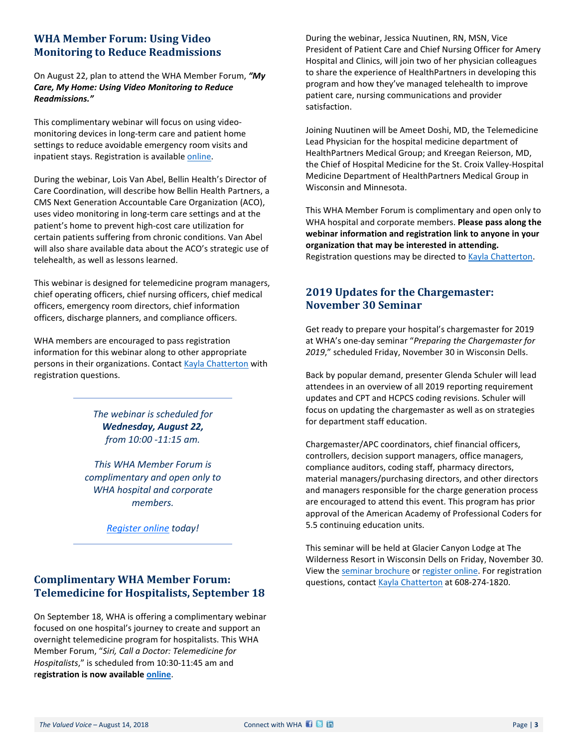# <span id="page-2-0"></span>**WHA Member Forum: Using Video Monitoring to Reduce Readmissions**

On August 22, plan to attend the WHA Member Forum, *"My Care, My Home: Using Video Monitoring to Reduce Readmissions."* 

This complimentary webinar will focus on using videomonitoring devices in long-term care and patient home settings to reduce avoidable emergency room visits and inpatient stays. Registration is available [online.](http://www.whareg4.org/Telemed0822/Home.aspx)

During the webinar, Lois Van Abel, Bellin Health's Director of Care Coordination, will describe how Bellin Health Partners, a CMS Next Generation Accountable Care Organization (ACO), uses video monitoring in long-term care settings and at the patient's home to prevent high-cost care utilization for certain patients suffering from chronic conditions. Van Abel will also share available data about the ACO's strategic use of telehealth, as well as lessons learned.

This webinar is designed for telemedicine program managers, chief operating officers, chief nursing officers, chief medical officers, emergency room directors, chief information officers, discharge planners, and compliance officers.

WHA members are encouraged to pass registration information for this webinar along to other appropriate persons in their organizations. Contact [Kayla Chatterton](mailto:kchatterton@wha.org) with registration questions.

> *The webinar is scheduled for Wednesday, August 22, from 10:00 -11:15 am.*

*This WHA Member Forum is complimentary and open only to WHA hospital and corporate members.* 

*[Register online](http://www.whareg4.org/Telemed0822/Home.aspx) today!*

# <span id="page-2-1"></span>**Complimentary WHA Member Forum: Telemedicine for Hospitalists, September 18**

On September 18, WHA is offering a complimentary webinar focused on one hospital's journey to create and support an overnight telemedicine program for hospitalists. This WHA Member Forum, "*Siri, Call a Doctor: Telemedicine for Hospitalists*," is scheduled from 10:30-11:45 am and r**egistration is now available [online](http://www.whareg4.org/Telemed0918)**.

During the webinar, Jessica Nuutinen, RN, MSN, Vice President of Patient Care and Chief Nursing Officer for Amery Hospital and Clinics, will join two of her physician colleagues to share the experience of HealthPartners in developing this program and how they've managed telehealth to improve patient care, nursing communications and provider satisfaction.

Joining Nuutinen will be Ameet Doshi, MD, the Telemedicine Lead Physician for the hospital medicine department of HealthPartners Medical Group; and Kreegan Reierson, MD, the Chief of Hospital Medicine for the St. Croix Valley-Hospital Medicine Department of HealthPartners Medical Group in Wisconsin and Minnesota.

This WHA Member Forum is complimentary and open only to WHA hospital and corporate members. **Please pass along the webinar information and registration link to anyone in your organization that may be interested in attending.**  Registration questions may be directed to [Kayla Chatterton.](mailto:kchatterton@wha.org)

# <span id="page-2-2"></span>**2019 Updates for the Chargemaster: November 30 Seminar**

Get ready to prepare your hospital's chargemaster for 2019 at WHA's one-day seminar "*Preparing the Chargemaster for 2019*," scheduled Friday, November 30 in Wisconsin Dells.

Back by popular demand, presenter Glenda Schuler will lead attendees in an overview of all 2019 reporting requirement updates and CPT and HCPCS coding revisions. Schuler will focus on updating the chargemaster as well as on strategies for department staff education.

Chargemaster/APC coordinators, chief financial officers, controllers, decision support managers, office managers, compliance auditors, coding staff, pharmacy directors, material managers/purchasing directors, and other directors and managers responsible for the charge generation process are encouraged to attend this event. This program has prior approval of the American Academy of Professional Coders for 5.5 continuing education units.

This seminar will be held at Glacier Canyon Lodge at The Wilderness Resort in Wisconsin Dells on Friday, November 30. View the [seminar brochure](http://www.wha.org/education/2018chargemaster11-30.pdf) o[r register online.](http://www.cvent.com/d/mgqst4) For registration questions, contact [Kayla Chatterton](mailto:kchatterton@wha.org) at 608-274-1820.